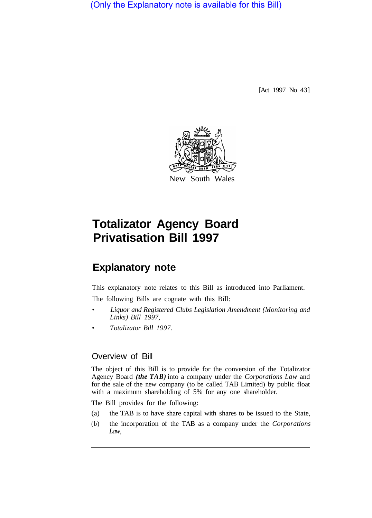(Only the Explanatory note is available for this Bill)

[Act 1997 No 43]



# **Totalizator Agency Board Privatisation Bill 1997**

## **Explanatory note**

This explanatory note relates to this Bill as introduced into Parliament. The following Bills are cognate with this Bill:

- *Liquor and Registered Clubs Legislation Amendment (Monitoring and Links) Bill 1997,*
- *Totalizator Bill 1997.*

#### Overview of Bill

The object of this Bill is to provide for the conversion of the Totalizator Agency Board *(the TAB)* into a company under the *Corporations Law* and for the sale of the new company (to be called TAB Limited) by public float with a maximum shareholding of 5% for any one shareholder.

The Bill provides for the following:

- (a) the TAB is to have share capital with shares to be issued to the State,
- (b) the incorporation of the TAB as a company under the *Corporations Law,*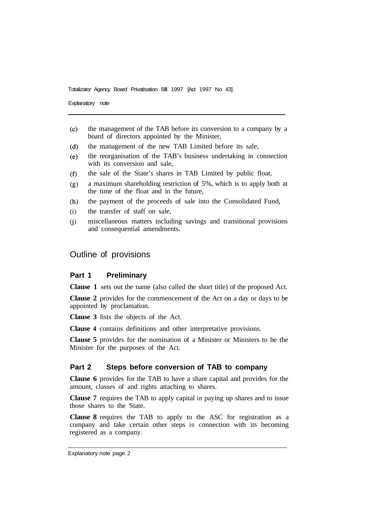Explanatory note

- $(c)$ the management of the TAB before its conversion to a company by a board of directors appointed by the Minister,
- the management of the new TAB Limited before its sale,  $(d)$
- the reorganisation of the TAB'S business undertaking in connection  $(e)$ with its conversion and sale.
- the sale of the State's shares in TAB Limited by public float,  $(f)$
- a maximum shareholding restriction of 5%, which is to apply both at  $(g)$ the time of the float and in the future,
- $(h)$ the payment of the proceeds of sale into the Consolidated Fund,
- the transfer of staff on sale,  $(i)$
- miscellaneous matters including savings and transitional provisions  $(i)$ and consequential amendments.

#### Outline of provisions

#### **Part 1 Preliminary**

**Clause 1** sets out the name (also called the short title) of the proposed Act.

**Clause 2** provides for the commencement of the Act on a day or days to be appointed by proclamation.

**Clause 3** lists the objects of the Act.

**Clause 4** contains definitions and other interpretative provisions.

**Clause 5** provides for the nomination of a Minister or Ministers to be the Minister for the purposes of the Act.

#### **Part 2 Steps before conversion of TAB to company**

**Clause 6** provides for the TAB to have a share capital and provides for the amount, classes of and rights attaching to shares.

**Clause 7** requires the TAB to apply capital in paying up shares and to issue those shares to the State.

**Clause 8** requires the TAB to apply to the ASC for registration as a company and take certain other steps in connection with its becoming registered as a company.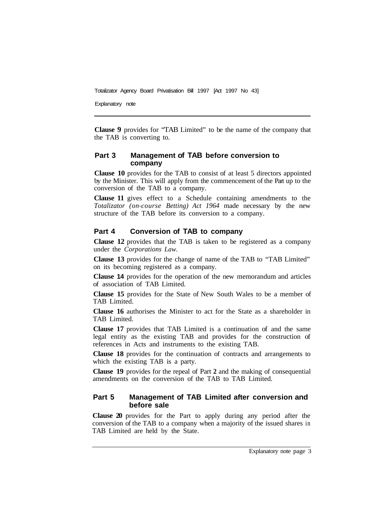Explanatory note

**Clause 9** provides for "TAB Limited" to be the name of the company that the TAB is converting to.

#### **Part 3 Management of TAB before conversion to company**

**Clause 10** provides for the TAB to consist of at least 5 directors appointed by the Minister. This will apply from the commencement of the Part up to the conversion of the TAB to a company.

**Clause 11** gives effect to a Schedule containing amendments to the *Totalizator (on-course Betting) Act 1964* made necessary by the new structure of the TAB before its conversion to a company.

#### **Part 4 Conversion of TAB to company**

**Clause 12** provides that the TAB is taken to be registered as a company under the *Corporations Law.* 

**Clause 13** provides for the change of name of the TAB to "TAB Limited" on its becoming registered as a company.

**Clause 14** provides for the operation of the new memorandum and articles of association of TAB Limited.

**Clause 15** provides for the State of New South Wales to be a member of TAB Limited.

**Clause 16** authorises the Minister to act for the State as a shareholder in TAB Limited.

**Clause 17** provides that TAB Limited is a continuation of and the same legal entity as the existing TAB and provides for the construction of references in Acts and instruments to the existing TAB.

**Clause 18** provides for the continuation of contracts and arrangements to which the existing TAB is a party.

**Clause 19** provides for the repeal of Part **2** and the making of consequential amendments on the conversion of the TAB to TAB Limited.

#### **Part 5 Management of TAB Limited after conversion and before sale**

**Clause 20** provides for the Part to apply during any period after the conversion of the TAB to a company when a majority of the issued shares in TAB Limited are held by the State.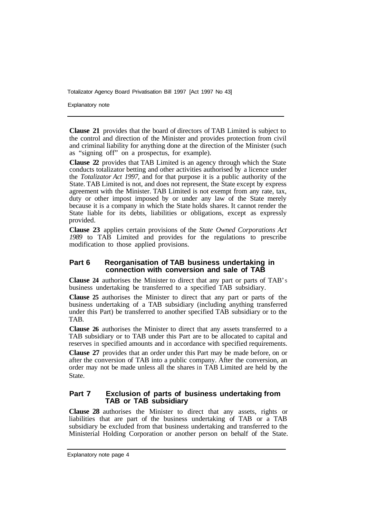Explanatory note

**Clause 21** provides that the board of directors of TAB Limited is subject to the control and direction of the Minister and provides protection from civil and criminal liability for anything done at the direction of the Minister (such as "signing off" on a prospectus, for example).

**Clause 22** provides that TAB Limited is an agency through which the State conducts totalizator betting and other activities authorised by a licence under the *Totalizator Act 1997,* and for that purpose it is a public authority of the State. TAB Limited is not, and does not represent, the State except by express agreement with the Minister. TAB Limited is not exempt from any rate, tax, duty or other impost imposed by or under any law of the State merely because it is a company in which the State holds shares. It cannot render the State liable for its debts, liabilities or obligations, except as expressly provided.

**Clause 23** applies certain provisions of the *State Owned Corporations Act 1989* to TAB Limited and provides for the regulations to prescribe modification to those applied provisions.

#### **Part 6 Reorganisation of TAB business undertaking in connection with conversion and sale of TAB**

**Clause 24** authorises the Minister to direct that any part or parts of TAB'S business undertaking be transferred to a specified TAB subsidiary.

**Clause 25** authorises the Minister to direct that any part or parts of the business undertaking of a TAB subsidiary (including anything transferred under this Part) be transferred to another specified TAB subsidiary or to the TAB.

**Clause 26** authorises the Minister to direct that any assets transferred to a TAB subsidiary or to TAB under this Part are to be allocated to capital and reserves in specified amounts and in accordance with specified requirements.

**Clause 27** provides that an order under this Part may be made before, on or after the conversion of TAB into a public company. After the conversion, an order may not be made unless all the shares in TAB Limited are held by the State.

#### **Part 7 Exclusion of parts of business undertaking from TAB or TAB subsidiary**

**Clause 28** authorises the Minister to direct that any assets, rights or liabilities that are part of the business undertaking of TAB or a TAB subsidiary be excluded from that business undertaking and transferred to the Ministerial Holding Corporation or another person on behalf of the State.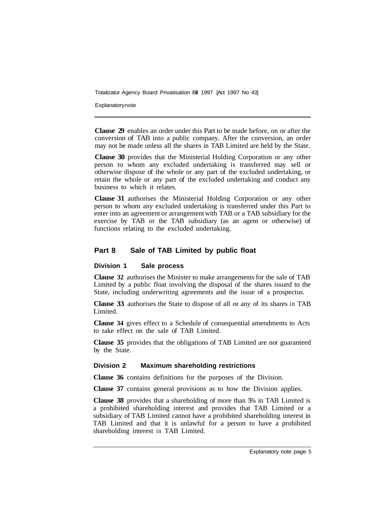**Explanatory note** 

**Clause 29** enables an order under this Part to be made before, on or after the conversion of TAB into a public company. After the conversion, an order may not be made unless all the shares in TAB Limited are held by the State.

**Clause 30** provides that the Ministerial Holding Corporation or any other person to whom any excluded undertaking is transferred may sell or otherwise dispose of the whole or any part of the excluded undertaking, or retain the whole or any part of the excluded undertaking and conduct any business to which it relates.

**Clause 31** authorises the Ministerial Holding Corporation or any other person to whom any excluded undertaking is transferred under this Part to enter into an agreement or arrangement with TAB or a TAB subsidiary for the exercise by TAB or the TAB subsidiary (as an agent or otherwise) of functions relating to the excluded undertaking.

#### **Part 8 Sale of TAB Limited by public float**

#### **Division 1 Sale process**

**Clause 32** authorises the Minister to make arrangements for the sale of TAB Limited by a public float involving the disposal of the shares issued to the State, including underwriting agreements and the issue of a prospectus.

**Clause 33** authorises the State to dispose of all or any of its shares in TAB Limited.

**Clause 34** gives effect to a Schedule of consequential amendments to Acts to take effect on the sale of TAB Limited.

**Clause 35** provides that the obligations of TAB Limited are not guaranteed by the State.

#### **Division 2 Maximum shareholding restrictions**

**Clause 36** contains definitions for the purposes of the Division.

**Clause 37** contains general provisions as to how the Division applies.

**Clause 38** provides that a shareholding of more than 5% in TAB Limited is a prohibited shareholding interest and provides that TAB Limited or a subsidiary of TAB Limited cannot have a prohibited shareholding interest in TAB Limited and that it is unlawful for a person to have a prohibited shareholding interest in TAB Limited.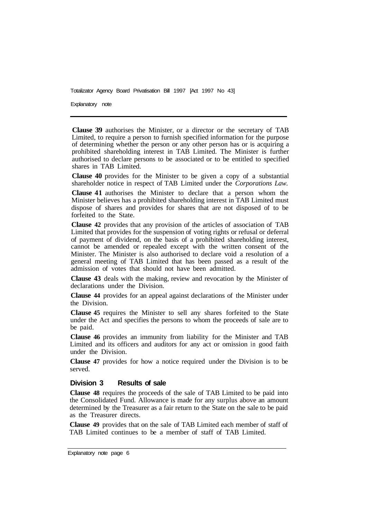Explanatory note

**Clause 39** authorises the Minister, or a director or the secretary of TAB Limited, to require a person to furnish specified information for the purpose of determining whether the person or any other person has or is acquiring a prohibited shareholding interest in TAB Limited. The Minister is further authorised to declare persons to be associated or to be entitled to specified shares in TAB Limited.

**Clause 40** provides for the Minister to be given a copy of a substantial shareholder notice in respect of TAB Limited under the *Corporations Law.* 

**Clause 41** authorises the Minister to declare that a person whom the Minister believes has a prohibited shareholding interest in TAB Limited must dispose of shares and provides for shares that are not disposed of to be forfeited to the State.

**Clause 42** provides that any provision of the articles of association of TAB Limited that provides for the suspension of voting rights or refusal or deferral of payment of dividend, on the basis of a prohibited shareholding interest, cannot be amended or repealed except with the written consent of the Minister. The Minister is also authorised to declare void a resolution of a general meeting of TAB Limited that has been passed as a result of the admission of votes that should not have been admitted.

**Clause 43** deals with the making, review and revocation by the Minister of declarations under the Division.

**Clause 44** provides for an appeal against declarations of the Minister under the Division.

**Clause 45** requires the Minister to sell any shares forfeited to the State under the Act and specifies the persons to whom the proceeds of sale are to be paid.

**Clause 46** provides an immunity from liability for the Minister and TAB Limited and its officers and auditors for any act or omission in good faith under the Division.

**Clause 47** provides for how a notice required under the Division is to be served.

#### **Division 3 Results of sale**

**Clause 48** requires the proceeds of the sale of TAB Limited to be paid into the Consolidated Fund. Allowance is made for any surplus above an amount determined by the Treasurer as a fair return to the State on the sale to be paid as the Treasurer directs.

**Clause 49** provides that on the sale of TAB Limited each member of staff of TAB Limited continues to be a member of staff of TAB Limited.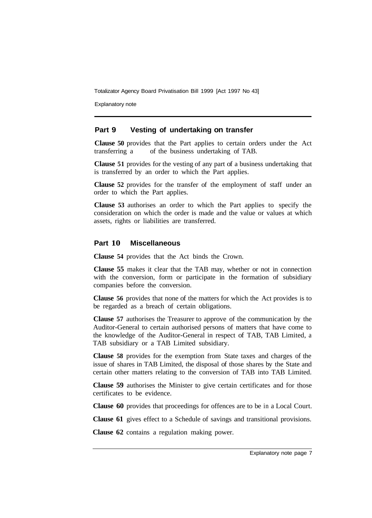Explanatory note

#### **Part 9 Vesting of undertaking on transfer**

**Clause 50** provides that the Part applies to certain orders under the Act transferring a of the business undertaking of TAB.

**Clause 51** provides for the vesting of any part of a business undertaking that is transferred by an order to which the Part applies.

**Clause 52** provides for the transfer of the employment of staff under an order to which the Part applies.

**Clause 53** authorises an order to which the Part applies to specify the consideration on which the order is made and the value or values at which assets, rights or liabilities are transferred.

#### **Part 10 Miscellaneous**

**Clause 54** provides that the Act binds the Crown.

**Clause 55** makes it clear that the TAB may, whether or not in connection with the conversion, form or participate in the formation of subsidiary companies before the conversion.

**Clause 56** provides that none of the matters for which the Act provides is to be regarded as a breach of certain obligations.

**Clause 57** authorises the Treasurer to approve of the communication by the Auditor-General to certain authorised persons of matters that have come to the knowledge of the Auditor-General in respect of TAB, TAB Limited, a TAB subsidiary or a TAB Limited subsidiary.

**Clause 58** provides for the exemption from State taxes and charges of the issue of shares in TAB Limited, the disposal of those shares by the State and certain other matters relating to the conversion of TAB into TAB Limited.

**Clause 59** authorises the Minister to give certain certificates and for those certificates to be evidence.

**Clause 60** provides that proceedings for offences are to be in a Local Court.

**Clause 61** gives effect to a Schedule of savings and transitional provisions.

**Clause 62** contains a regulation making power.